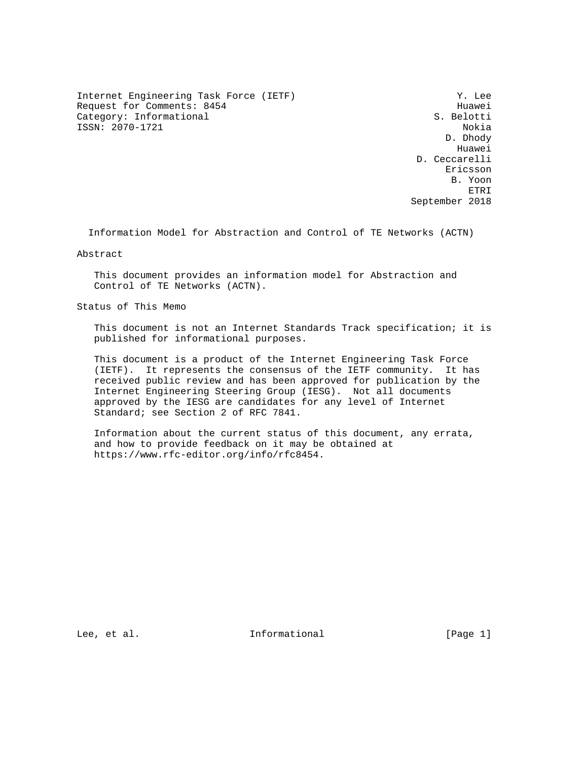Internet Engineering Task Force (IETF) Y. Lee Request for Comments: 8454 Huawei<br>Category: Informational example and the set of the S. Belotti Category: Informational ISSN: 2070-1721 Nokia

 D. Dhody he distributed by the control of the control of the control of the control of the control of the control of the control of the control of the control of the control of the control of the control of the control of the contr D. Ceccarelli eric and the contract of the contract of the contract of the contract of the contract of the contract of the contract of the contract of the contract of the contract of the contract of the contract of the contract of the c B. Yoon ETRI September 2018

Information Model for Abstraction and Control of TE Networks (ACTN)

Abstract

 This document provides an information model for Abstraction and Control of TE Networks (ACTN).

Status of This Memo

 This document is not an Internet Standards Track specification; it is published for informational purposes.

 This document is a product of the Internet Engineering Task Force (IETF). It represents the consensus of the IETF community. It has received public review and has been approved for publication by the Internet Engineering Steering Group (IESG). Not all documents approved by the IESG are candidates for any level of Internet Standard; see Section 2 of RFC 7841.

 Information about the current status of this document, any errata, and how to provide feedback on it may be obtained at https://www.rfc-editor.org/info/rfc8454.

Lee, et al.  $\qquad \qquad$  Informational  $[Page 1]$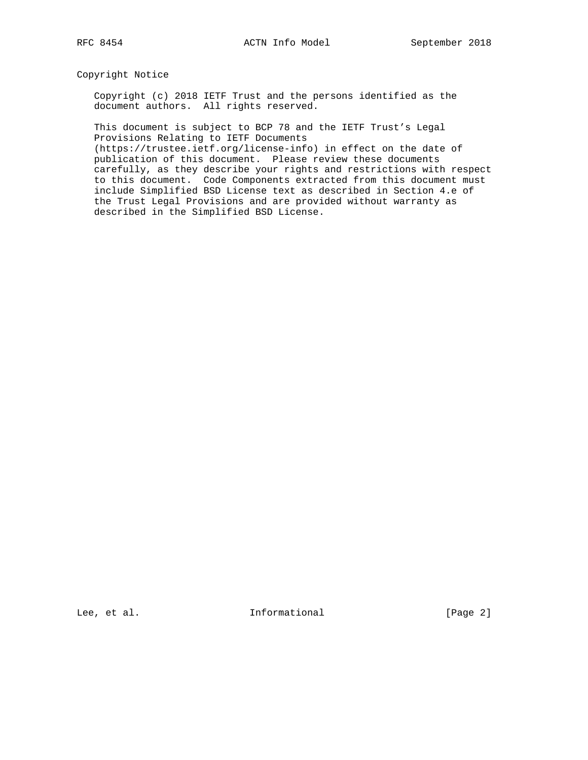Copyright Notice

 Copyright (c) 2018 IETF Trust and the persons identified as the document authors. All rights reserved.

 This document is subject to BCP 78 and the IETF Trust's Legal Provisions Relating to IETF Documents

 (https://trustee.ietf.org/license-info) in effect on the date of publication of this document. Please review these documents carefully, as they describe your rights and restrictions with respect to this document. Code Components extracted from this document must include Simplified BSD License text as described in Section 4.e of the Trust Legal Provisions and are provided without warranty as described in the Simplified BSD License.

Lee, et al. 10 methormational [Page 2]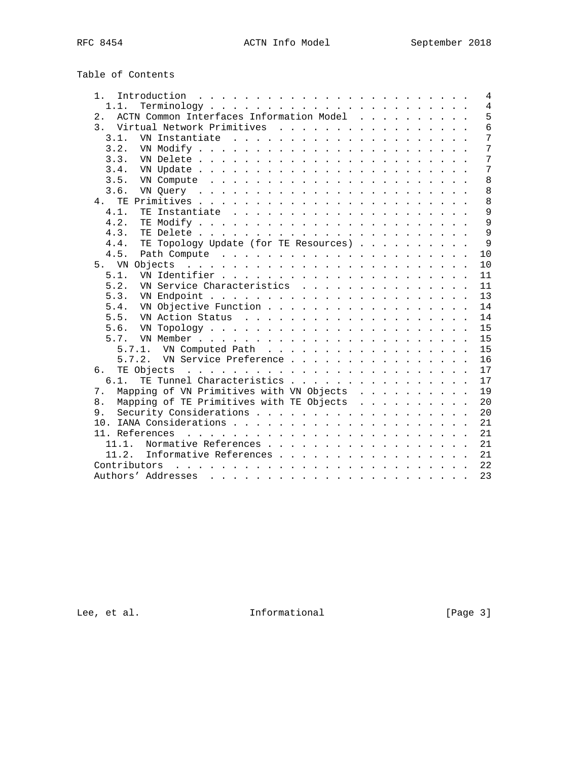|  | Table of Contents |
|--|-------------------|
|  |                   |

| Introduction $\ldots \ldots \ldots \ldots \ldots \ldots \ldots \ldots$<br>$1$ .                                                                                                                                                                   |  |  |  |  | $\overline{4}$ |
|---------------------------------------------------------------------------------------------------------------------------------------------------------------------------------------------------------------------------------------------------|--|--|--|--|----------------|
| 1.1.                                                                                                                                                                                                                                              |  |  |  |  | $\overline{4}$ |
| ACTN Common Interfaces Information Model<br>2.1                                                                                                                                                                                                   |  |  |  |  | 5              |
| Virtual Network Primitives<br>3 <sup>1</sup>                                                                                                                                                                                                      |  |  |  |  | $\overline{6}$ |
| 3.1.                                                                                                                                                                                                                                              |  |  |  |  | 7              |
| 3.2.                                                                                                                                                                                                                                              |  |  |  |  | 7              |
| 3.3.                                                                                                                                                                                                                                              |  |  |  |  | 7              |
| 3.4.                                                                                                                                                                                                                                              |  |  |  |  | 7              |
| 3.5.                                                                                                                                                                                                                                              |  |  |  |  | 8              |
| 3.6.                                                                                                                                                                                                                                              |  |  |  |  | 8              |
| TE.<br>4.                                                                                                                                                                                                                                         |  |  |  |  | 8              |
| 4.1.                                                                                                                                                                                                                                              |  |  |  |  | $\overline{9}$ |
| 4.2.                                                                                                                                                                                                                                              |  |  |  |  | 9              |
| 4.3.                                                                                                                                                                                                                                              |  |  |  |  | $\overline{9}$ |
| TE Topology Update (for TE Resources)<br>4.4.                                                                                                                                                                                                     |  |  |  |  | $\mathsf{Q}$   |
| 4.5.                                                                                                                                                                                                                                              |  |  |  |  | 10             |
| 5. VN<br>Objects<br>. The contract of the contract of the contract of the contract of the contract of the contract of the contract of the contract of the contract of the contract of the contract of the contract of the contract of the contrac |  |  |  |  | 10             |
| 5.1.                                                                                                                                                                                                                                              |  |  |  |  | 11             |
| VN Service Characteristics<br>5.2.                                                                                                                                                                                                                |  |  |  |  | 11             |
| 5.3.                                                                                                                                                                                                                                              |  |  |  |  | 13             |
| VN Objective Function<br>5.4.                                                                                                                                                                                                                     |  |  |  |  | 14             |
| 5.5.                                                                                                                                                                                                                                              |  |  |  |  | 14             |
| 5.6.                                                                                                                                                                                                                                              |  |  |  |  | 15             |
| 5.7.                                                                                                                                                                                                                                              |  |  |  |  | 15             |
|                                                                                                                                                                                                                                                   |  |  |  |  | 15             |
| 5.7.2. VN Service Preference                                                                                                                                                                                                                      |  |  |  |  | 16             |
| б.                                                                                                                                                                                                                                                |  |  |  |  | 17             |
| TE Tunnel Characteristics<br>$6.1$ .                                                                                                                                                                                                              |  |  |  |  | 17             |
| Mapping of VN Primitives with VN Objects<br>7.                                                                                                                                                                                                    |  |  |  |  | 19             |
| Mapping of TE Primitives with TE Objects<br>8.                                                                                                                                                                                                    |  |  |  |  | 20             |
| 9.                                                                                                                                                                                                                                                |  |  |  |  | 20             |
|                                                                                                                                                                                                                                                   |  |  |  |  | 21             |
|                                                                                                                                                                                                                                                   |  |  |  |  | 21             |
| 11.1.<br>Normative References                                                                                                                                                                                                                     |  |  |  |  | 21             |
| 11.2.<br>Informative References                                                                                                                                                                                                                   |  |  |  |  | 21             |
|                                                                                                                                                                                                                                                   |  |  |  |  | 22             |
|                                                                                                                                                                                                                                                   |  |  |  |  | 23             |
|                                                                                                                                                                                                                                                   |  |  |  |  |                |

Lee, et al. 1nformational [Page 3]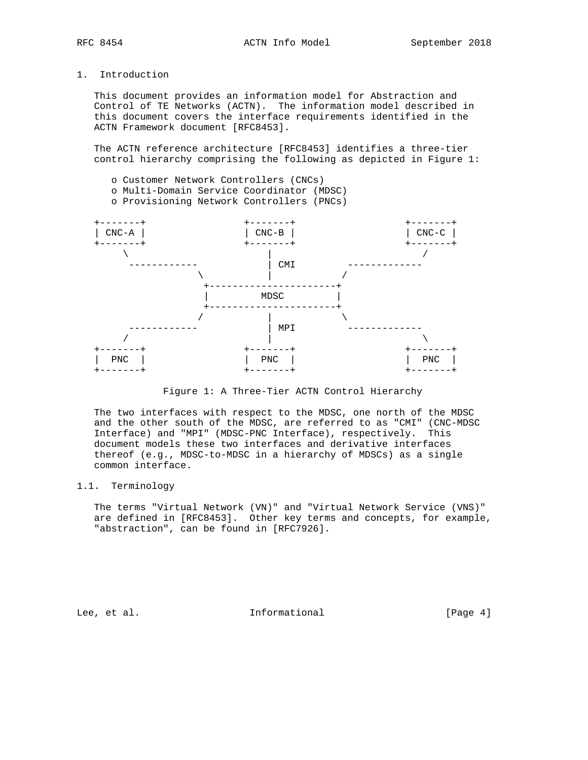# 1. Introduction

 This document provides an information model for Abstraction and Control of TE Networks (ACTN). The information model described in this document covers the interface requirements identified in the ACTN Framework document [RFC8453].

 The ACTN reference architecture [RFC8453] identifies a three-tier control hierarchy comprising the following as depicted in Figure 1:

- o Customer Network Controllers (CNCs)
- o Multi-Domain Service Coordinator (MDSC)
- o Provisioning Network Controllers (PNCs)



Figure 1: A Three-Tier ACTN Control Hierarchy

 The two interfaces with respect to the MDSC, one north of the MDSC and the other south of the MDSC, are referred to as "CMI" (CNC-MDSC Interface) and "MPI" (MDSC-PNC Interface), respectively. This document models these two interfaces and derivative interfaces thereof (e.g., MDSC-to-MDSC in a hierarchy of MDSCs) as a single common interface.

# 1.1. Terminology

 The terms "Virtual Network (VN)" and "Virtual Network Service (VNS)" are defined in [RFC8453]. Other key terms and concepts, for example, "abstraction", can be found in [RFC7926].

Lee, et al. 10 methormational [Page 4]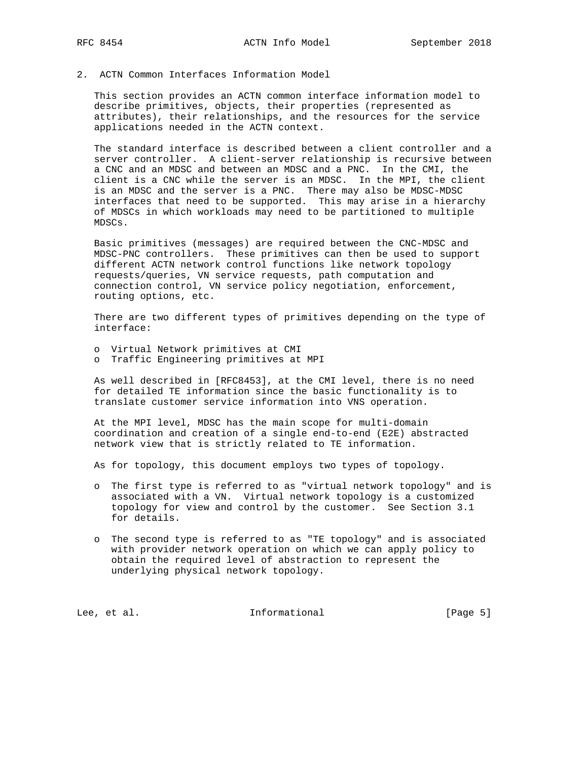# 2. ACTN Common Interfaces Information Model

 This section provides an ACTN common interface information model to describe primitives, objects, their properties (represented as attributes), their relationships, and the resources for the service applications needed in the ACTN context.

 The standard interface is described between a client controller and a server controller. A client-server relationship is recursive between a CNC and an MDSC and between an MDSC and a PNC. In the CMI, the client is a CNC while the server is an MDSC. In the MPI, the client is an MDSC and the server is a PNC. There may also be MDSC-MDSC interfaces that need to be supported. This may arise in a hierarchy of MDSCs in which workloads may need to be partitioned to multiple MDSCs.

 Basic primitives (messages) are required between the CNC-MDSC and MDSC-PNC controllers. These primitives can then be used to support different ACTN network control functions like network topology requests/queries, VN service requests, path computation and connection control, VN service policy negotiation, enforcement, routing options, etc.

 There are two different types of primitives depending on the type of interface:

- o Virtual Network primitives at CMI
- o Traffic Engineering primitives at MPI

 As well described in [RFC8453], at the CMI level, there is no need for detailed TE information since the basic functionality is to translate customer service information into VNS operation.

 At the MPI level, MDSC has the main scope for multi-domain coordination and creation of a single end-to-end (E2E) abstracted network view that is strictly related to TE information.

As for topology, this document employs two types of topology.

- o The first type is referred to as "virtual network topology" and is associated with a VN. Virtual network topology is a customized topology for view and control by the customer. See Section 3.1 for details.
- o The second type is referred to as "TE topology" and is associated with provider network operation on which we can apply policy to obtain the required level of abstraction to represent the underlying physical network topology.

Lee, et al. 10 mm informational 100 mm informational [Page 5]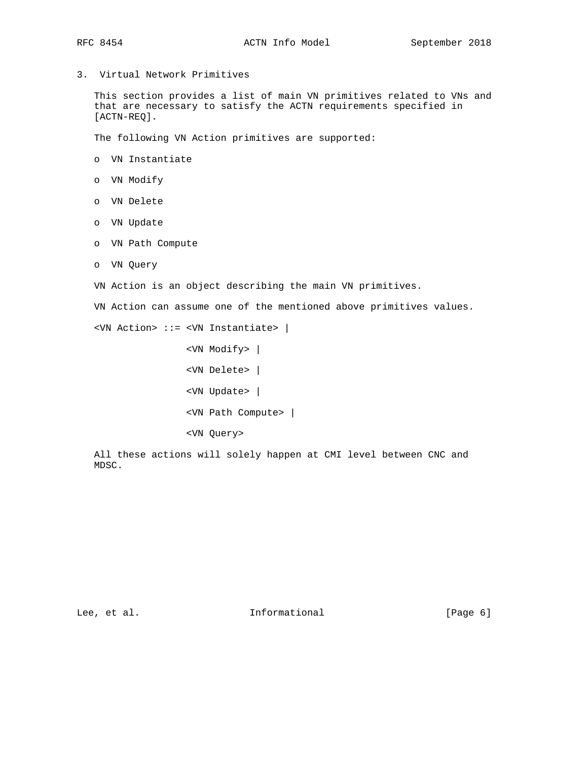3. Virtual Network Primitives

 This section provides a list of main VN primitives related to VNs and that are necessary to satisfy the ACTN requirements specified in [ACTN-REQ].

The following VN Action primitives are supported:

- o VN Instantiate
- o VN Modify
- o VN Delete
- o VN Update
- o VN Path Compute
- o VN Query

VN Action is an object describing the main VN primitives.

VN Action can assume one of the mentioned above primitives values.

<VN Action> ::= <VN Instantiate> |

```
 <VN Modify> |
<VN Delete> |
<VN Update> |
<VN Path Compute> |
<VN Query>
```
 All these actions will solely happen at CMI level between CNC and MDSC.

Lee, et al. 1nformational [Page 6]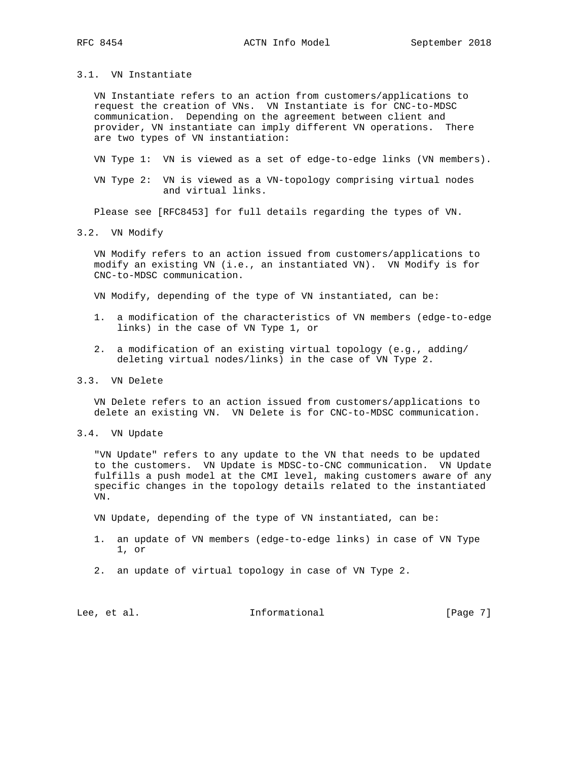#### 3.1. VN Instantiate

 VN Instantiate refers to an action from customers/applications to request the creation of VNs. VN Instantiate is for CNC-to-MDSC communication. Depending on the agreement between client and provider, VN instantiate can imply different VN operations. There are two types of VN instantiation:

VN Type 1: VN is viewed as a set of edge-to-edge links (VN members).

 VN Type 2: VN is viewed as a VN-topology comprising virtual nodes and virtual links.

Please see [RFC8453] for full details regarding the types of VN.

#### 3.2. VN Modify

 VN Modify refers to an action issued from customers/applications to modify an existing VN (i.e., an instantiated VN). VN Modify is for CNC-to-MDSC communication.

VN Modify, depending of the type of VN instantiated, can be:

- 1. a modification of the characteristics of VN members (edge-to-edge links) in the case of VN Type 1, or
- 2. a modification of an existing virtual topology (e.g., adding/ deleting virtual nodes/links) in the case of VN Type 2.
- 3.3. VN Delete

 VN Delete refers to an action issued from customers/applications to delete an existing VN. VN Delete is for CNC-to-MDSC communication.

3.4. VN Update

 "VN Update" refers to any update to the VN that needs to be updated to the customers. VN Update is MDSC-to-CNC communication. VN Update fulfills a push model at the CMI level, making customers aware of any specific changes in the topology details related to the instantiated VN.

VN Update, depending of the type of VN instantiated, can be:

- 1. an update of VN members (edge-to-edge links) in case of VN Type 1, or
- 2. an update of virtual topology in case of VN Type 2.

Lee, et al. 1nformational [Page 7]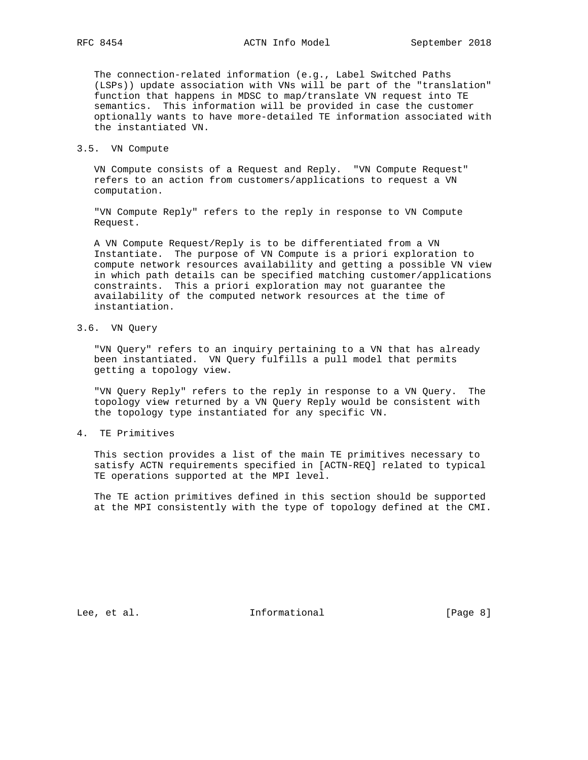The connection-related information (e.g., Label Switched Paths (LSPs)) update association with VNs will be part of the "translation" function that happens in MDSC to map/translate VN request into TE semantics. This information will be provided in case the customer optionally wants to have more-detailed TE information associated with the instantiated VN.

3.5. VN Compute

 VN Compute consists of a Request and Reply. "VN Compute Request" refers to an action from customers/applications to request a VN computation.

 "VN Compute Reply" refers to the reply in response to VN Compute Request.

 A VN Compute Request/Reply is to be differentiated from a VN Instantiate. The purpose of VN Compute is a priori exploration to compute network resources availability and getting a possible VN view in which path details can be specified matching customer/applications constraints. This a priori exploration may not guarantee the availability of the computed network resources at the time of instantiation.

3.6. VN Query

 "VN Query" refers to an inquiry pertaining to a VN that has already been instantiated. VN Query fulfills a pull model that permits getting a topology view.

 "VN Query Reply" refers to the reply in response to a VN Query. The topology view returned by a VN Query Reply would be consistent with the topology type instantiated for any specific VN.

4. TE Primitives

 This section provides a list of the main TE primitives necessary to satisfy ACTN requirements specified in [ACTN-REQ] related to typical TE operations supported at the MPI level.

 The TE action primitives defined in this section should be supported at the MPI consistently with the type of topology defined at the CMI.

Lee, et al. 10 mm informational 100 mm informational [Page 8]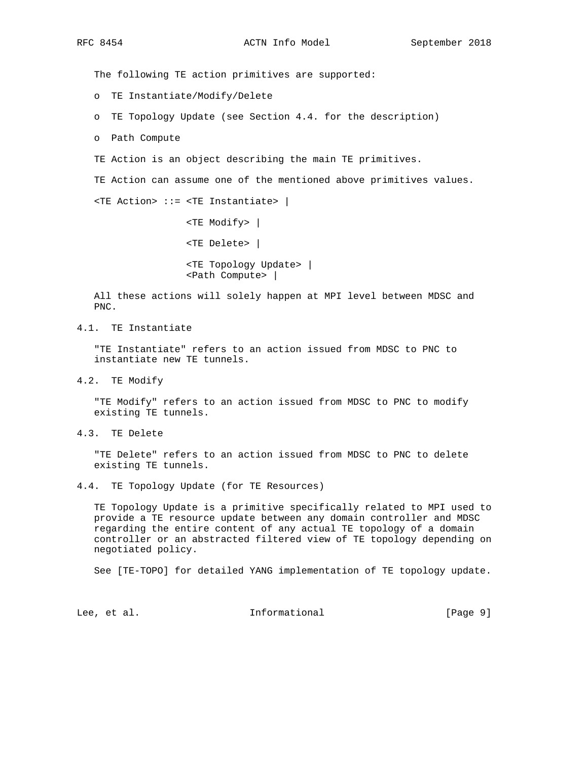The following TE action primitives are supported:

o TE Instantiate/Modify/Delete

o TE Topology Update (see Section 4.4. for the description)

o Path Compute

TE Action is an object describing the main TE primitives.

TE Action can assume one of the mentioned above primitives values.

<TE Action> ::= <TE Instantiate> |

 <TE Modify> | <TE Delete> | <TE Topology Update> | <Path Compute> |

 All these actions will solely happen at MPI level between MDSC and PNC.

4.1. TE Instantiate

 "TE Instantiate" refers to an action issued from MDSC to PNC to instantiate new TE tunnels.

4.2. TE Modify

 "TE Modify" refers to an action issued from MDSC to PNC to modify existing TE tunnels.

4.3. TE Delete

 "TE Delete" refers to an action issued from MDSC to PNC to delete existing TE tunnels.

4.4. TE Topology Update (for TE Resources)

 TE Topology Update is a primitive specifically related to MPI used to provide a TE resource update between any domain controller and MDSC regarding the entire content of any actual TE topology of a domain controller or an abstracted filtered view of TE topology depending on negotiated policy.

See [TE-TOPO] for detailed YANG implementation of TE topology update.

Lee, et al. Informational [Page 9]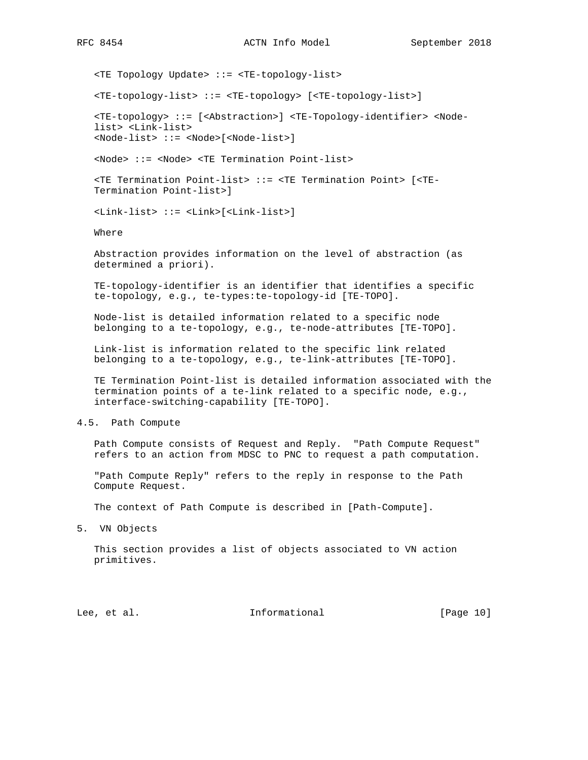<TE Topology Update> ::= <TE-topology-list> <TE-topology-list> ::= <TE-topology> [<TE-topology-list>] <TE-topology> ::= [<Abstraction>] <TE-Topology-identifier> <Node list> <Link-list> <Node-list> ::= <Node>[<Node-list>] <Node> ::= <Node> <TE Termination Point-list> <TE Termination Point-list> ::= <TE Termination Point> [<TE- Termination Point-list>] <Link-list> ::= <Link>[<Link-list>] Where Abstraction provides information on the level of abstraction (as determined a priori).

 TE-topology-identifier is an identifier that identifies a specific te-topology, e.g., te-types:te-topology-id [TE-TOPO].

 Node-list is detailed information related to a specific node belonging to a te-topology, e.g., te-node-attributes [TE-TOPO].

 Link-list is information related to the specific link related belonging to a te-topology, e.g., te-link-attributes [TE-TOPO].

 TE Termination Point-list is detailed information associated with the termination points of a te-link related to a specific node, e.g., interface-switching-capability [TE-TOPO].

4.5. Path Compute

 Path Compute consists of Request and Reply. "Path Compute Request" refers to an action from MDSC to PNC to request a path computation.

 "Path Compute Reply" refers to the reply in response to the Path Compute Request.

The context of Path Compute is described in [Path-Compute].

5. VN Objects

 This section provides a list of objects associated to VN action primitives.

Lee, et al. 10 methormational [Page 10]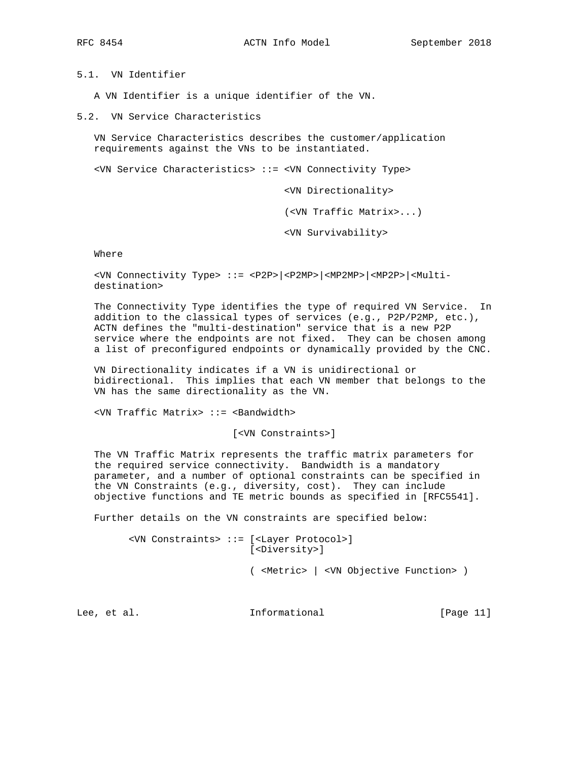5.1. VN Identifier

A VN Identifier is a unique identifier of the VN.

5.2. VN Service Characteristics

 VN Service Characteristics describes the customer/application requirements against the VNs to be instantiated.

<VN Service Characteristics> ::= <VN Connectivity Type>

<VN Directionality>

(<VN Traffic Matrix>...)

<VN Survivability>

Where

 <VN Connectivity Type> ::= <P2P>|<P2MP>|<MP2MP>|<MP2P>|<Multi destination>

 The Connectivity Type identifies the type of required VN Service. In addition to the classical types of services (e.g., P2P/P2MP, etc.), ACTN defines the "multi-destination" service that is a new P2P service where the endpoints are not fixed. They can be chosen among a list of preconfigured endpoints or dynamically provided by the CNC.

 VN Directionality indicates if a VN is unidirectional or bidirectional. This implies that each VN member that belongs to the VN has the same directionality as the VN.

<VN Traffic Matrix> ::= <Bandwidth>

[<VN Constraints>]

 The VN Traffic Matrix represents the traffic matrix parameters for the required service connectivity. Bandwidth is a mandatory parameter, and a number of optional constraints can be specified in the VN Constraints (e.g., diversity, cost). They can include objective functions and TE metric bounds as specified in [RFC5541].

Further details on the VN constraints are specified below:

 <VN Constraints> ::= [<Layer Protocol>] [<Diversity>]

( <Metric> | <VN Objective Function> )

Lee, et al. Informational [Page 11]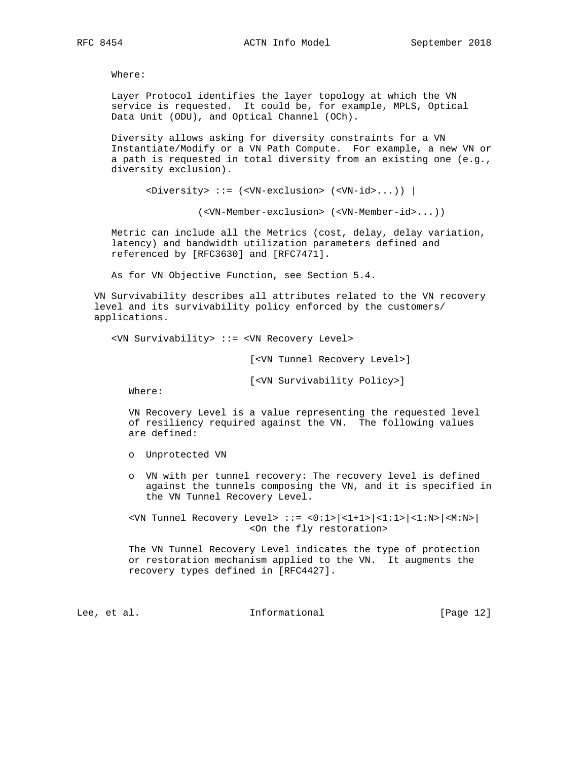Where:

 Layer Protocol identifies the layer topology at which the VN service is requested. It could be, for example, MPLS, Optical Data Unit (ODU), and Optical Channel (OCh).

 Diversity allows asking for diversity constraints for a VN Instantiate/Modify or a VN Path Compute. For example, a new VN or a path is requested in total diversity from an existing one (e.g., diversity exclusion).

<Diversity> ::= (<VN-exclusion> (<VN-id>...)) |

(<VN-Member-exclusion> (<VN-Member-id>...))

 Metric can include all the Metrics (cost, delay, delay variation, latency) and bandwidth utilization parameters defined and referenced by [RFC3630] and [RFC7471].

As for VN Objective Function, see Section 5.4.

 VN Survivability describes all attributes related to the VN recovery level and its survivability policy enforced by the customers/ applications.

<VN Survivability> ::= <VN Recovery Level>

[<VN Tunnel Recovery Level>]

[<VN Survivability Policy>]

Where:

 VN Recovery Level is a value representing the requested level of resiliency required against the VN. The following values are defined:

- o Unprotected VN
- o VN with per tunnel recovery: The recovery level is defined against the tunnels composing the VN, and it is specified in the VN Tunnel Recovery Level.

 <VN Tunnel Recovery Level> ::= <0:1>|<1+1>|<1:1>|<1:N>|<M:N>| <On the fly restoration>

 The VN Tunnel Recovery Level indicates the type of protection or restoration mechanism applied to the VN. It augments the recovery types defined in [RFC4427].

Lee, et al. 10 mm informational [Page 12]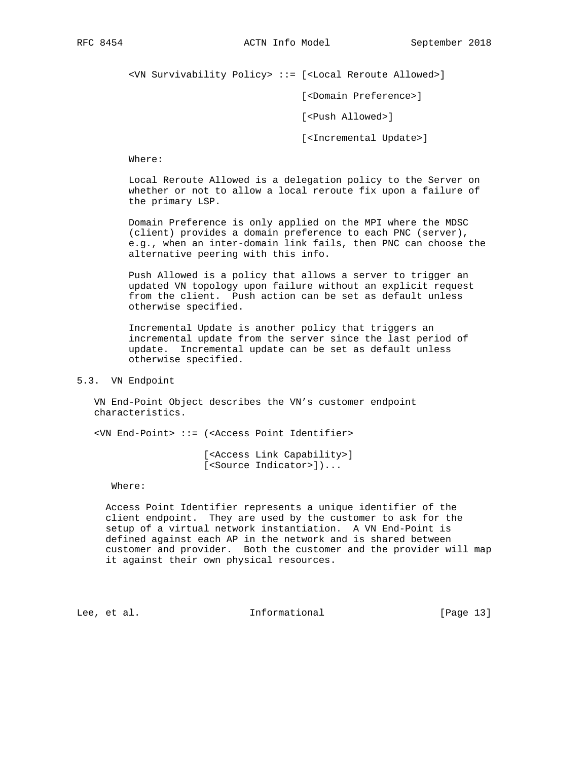<VN Survivability Policy> ::= [<Local Reroute Allowed>]

[<Domain Preference>]

[<Push Allowed>]

[<Incremental Update>]

Where:

 Local Reroute Allowed is a delegation policy to the Server on whether or not to allow a local reroute fix upon a failure of the primary LSP.

 Domain Preference is only applied on the MPI where the MDSC (client) provides a domain preference to each PNC (server), e.g., when an inter-domain link fails, then PNC can choose the alternative peering with this info.

 Push Allowed is a policy that allows a server to trigger an updated VN topology upon failure without an explicit request from the client. Push action can be set as default unless otherwise specified.

 Incremental Update is another policy that triggers an incremental update from the server since the last period of update. Incremental update can be set as default unless otherwise specified.

#### 5.3. VN Endpoint

 VN End-Point Object describes the VN's customer endpoint characteristics.

<VN End-Point> ::= (<Access Point Identifier>

 [<Access Link Capability>] [<Source Indicator>])...

Where:

 Access Point Identifier represents a unique identifier of the client endpoint. They are used by the customer to ask for the setup of a virtual network instantiation. A VN End-Point is defined against each AP in the network and is shared between customer and provider. Both the customer and the provider will map it against their own physical resources.

Lee, et al. Informational [Page 13]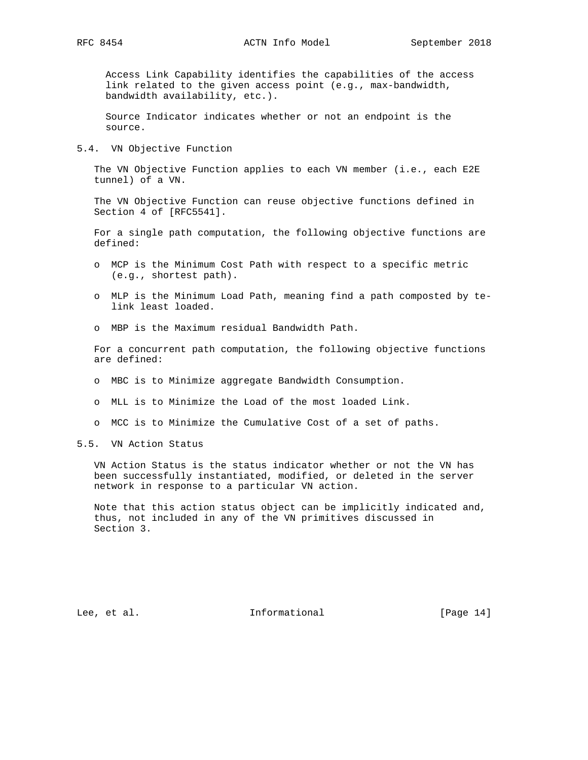Access Link Capability identifies the capabilities of the access link related to the given access point (e.g., max-bandwidth, bandwidth availability, etc.).

 Source Indicator indicates whether or not an endpoint is the source.

5.4. VN Objective Function

The VN Objective Function applies to each VN member (i.e., each E2E tunnel) of a VN.

 The VN Objective Function can reuse objective functions defined in Section 4 of [RFC5541].

 For a single path computation, the following objective functions are defined:

- o MCP is the Minimum Cost Path with respect to a specific metric (e.g., shortest path).
- o MLP is the Minimum Load Path, meaning find a path composted by te link least loaded.
- o MBP is the Maximum residual Bandwidth Path.

 For a concurrent path computation, the following objective functions are defined:

- o MBC is to Minimize aggregate Bandwidth Consumption.
- o MLL is to Minimize the Load of the most loaded Link.
- o MCC is to Minimize the Cumulative Cost of a set of paths.
- 5.5. VN Action Status

 VN Action Status is the status indicator whether or not the VN has been successfully instantiated, modified, or deleted in the server network in response to a particular VN action.

 Note that this action status object can be implicitly indicated and, thus, not included in any of the VN primitives discussed in Section 3.

Lee, et al. Informational [Page 14]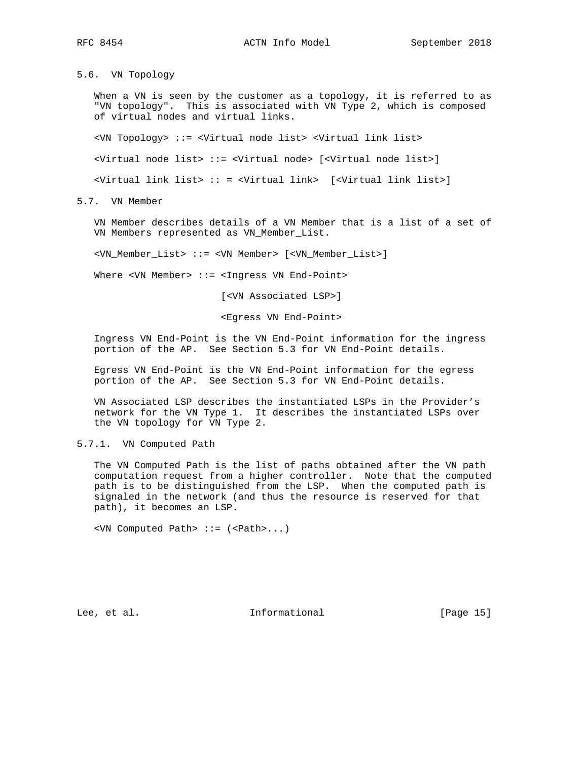5.6. VN Topology

 When a VN is seen by the customer as a topology, it is referred to as "VN topology". This is associated with VN Type 2, which is composed of virtual nodes and virtual links.

<VN Topology> ::= <Virtual node list> <Virtual link list>

<Virtual node list> ::= <Virtual node> [<Virtual node list>]

<Virtual link list> :: = <Virtual link> [<Virtual link list>]

5.7. VN Member

 VN Member describes details of a VN Member that is a list of a set of VN Members represented as VN\_Member\_List.

<VN\_Member\_List> ::= <VN Member> [<VN\_Member\_List>]

Where <VN Member> ::= <Ingress VN End-Point>

[<VN Associated LSP>]

<Egress VN End-Point>

 Ingress VN End-Point is the VN End-Point information for the ingress portion of the AP. See Section 5.3 for VN End-Point details.

 Egress VN End-Point is the VN End-Point information for the egress portion of the AP. See Section 5.3 for VN End-Point details.

 VN Associated LSP describes the instantiated LSPs in the Provider's network for the VN Type 1. It describes the instantiated LSPs over the VN topology for VN Type 2.

5.7.1. VN Computed Path

 The VN Computed Path is the list of paths obtained after the VN path computation request from a higher controller. Note that the computed path is to be distinguished from the LSP. When the computed path is signaled in the network (and thus the resource is reserved for that path), it becomes an LSP.

<VN Computed Path> ::= (<Path>...)

Lee, et al. 10 mm informational [Page 15]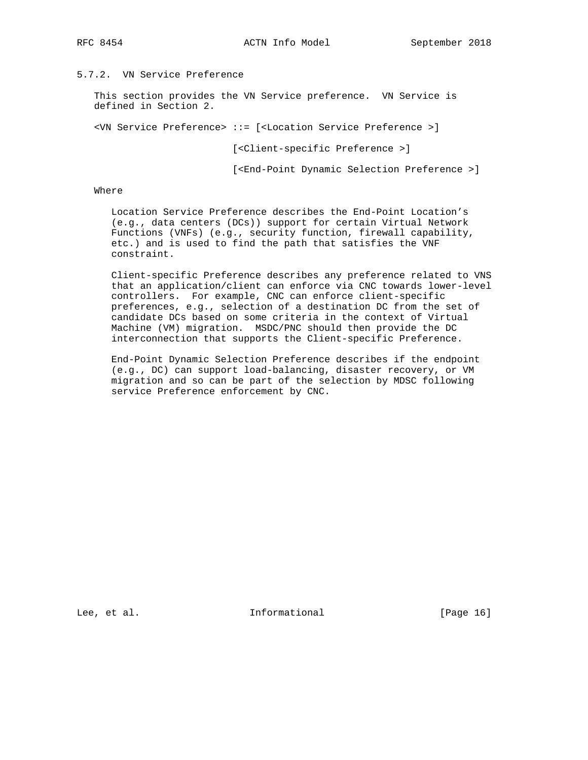# 5.7.2. VN Service Preference

 This section provides the VN Service preference. VN Service is defined in Section 2.

<VN Service Preference> ::= [<Location Service Preference >]

[<Client-specific Preference >]

[<End-Point Dynamic Selection Preference >]

#### Where

 Location Service Preference describes the End-Point Location's (e.g., data centers (DCs)) support for certain Virtual Network Functions (VNFs) (e.g., security function, firewall capability, etc.) and is used to find the path that satisfies the VNF constraint.

 Client-specific Preference describes any preference related to VNS that an application/client can enforce via CNC towards lower-level controllers. For example, CNC can enforce client-specific preferences, e.g., selection of a destination DC from the set of candidate DCs based on some criteria in the context of Virtual Machine (VM) migration. MSDC/PNC should then provide the DC interconnection that supports the Client-specific Preference.

 End-Point Dynamic Selection Preference describes if the endpoint (e.g., DC) can support load-balancing, disaster recovery, or VM migration and so can be part of the selection by MDSC following service Preference enforcement by CNC.

Lee, et al. 10 mm informational [Page 16]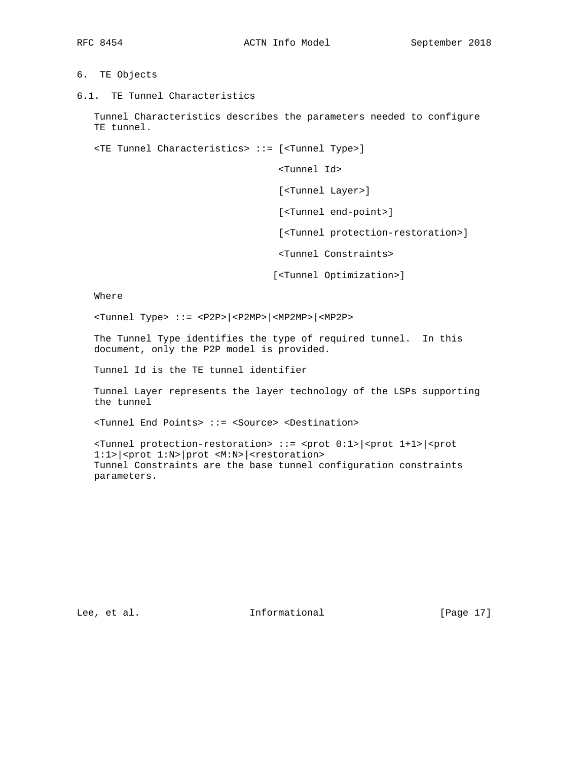- 6. TE Objects
- 6.1. TE Tunnel Characteristics

 Tunnel Characteristics describes the parameters needed to configure TE tunnel.

<TE Tunnel Characteristics> ::= [<Tunnel Type>]

<Tunnel Id>

[<Tunnel Layer>]

[<Tunnel end-point>]

[<Tunnel protection-restoration>]

<Tunnel Constraints>

[<Tunnel Optimization>]

Where

<Tunnel Type> ::= <P2P>|<P2MP>|<MP2MP>|<MP2P>

 The Tunnel Type identifies the type of required tunnel. In this document, only the P2P model is provided.

Tunnel Id is the TE tunnel identifier

 Tunnel Layer represents the layer technology of the LSPs supporting the tunnel

<Tunnel End Points> ::= <Source> <Destination>

 <Tunnel protection-restoration> ::= <prot 0:1>|<prot 1+1>|<prot 1:1>|<prot 1:N>|prot <M:N>|<restoration> Tunnel Constraints are the base tunnel configuration constraints parameters.

Lee, et al. 10 mm informational [Page 17]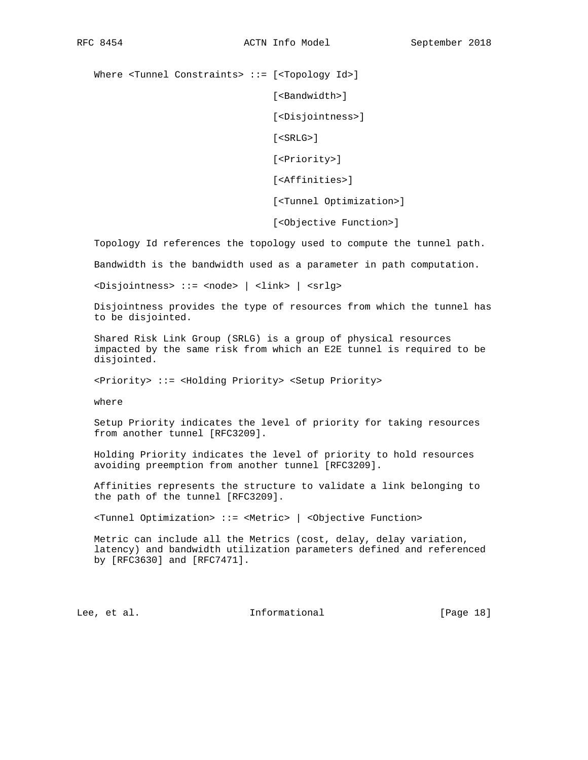Where <Tunnel Constraints> ::= [<Topology Id>]

[<Bandwidth>]

[<Disjointness>]

[<SRLG>]

[<Priority>]

[<Affinities>]

[<Tunnel Optimization>]

[<Objective Function>]

Topology Id references the topology used to compute the tunnel path.

Bandwidth is the bandwidth used as a parameter in path computation.

<Disjointness> ::= <node> | <link> | <srlg>

 Disjointness provides the type of resources from which the tunnel has to be disjointed.

 Shared Risk Link Group (SRLG) is a group of physical resources impacted by the same risk from which an E2E tunnel is required to be disjointed.

<Priority> ::= <Holding Priority> <Setup Priority>

where

 Setup Priority indicates the level of priority for taking resources from another tunnel [RFC3209].

 Holding Priority indicates the level of priority to hold resources avoiding preemption from another tunnel [RFC3209].

 Affinities represents the structure to validate a link belonging to the path of the tunnel [RFC3209].

<Tunnel Optimization> ::= <Metric> | <Objective Function>

 Metric can include all the Metrics (cost, delay, delay variation, latency) and bandwidth utilization parameters defined and referenced by [RFC3630] and [RFC7471].

Lee, et al. 1nformational [Page 18]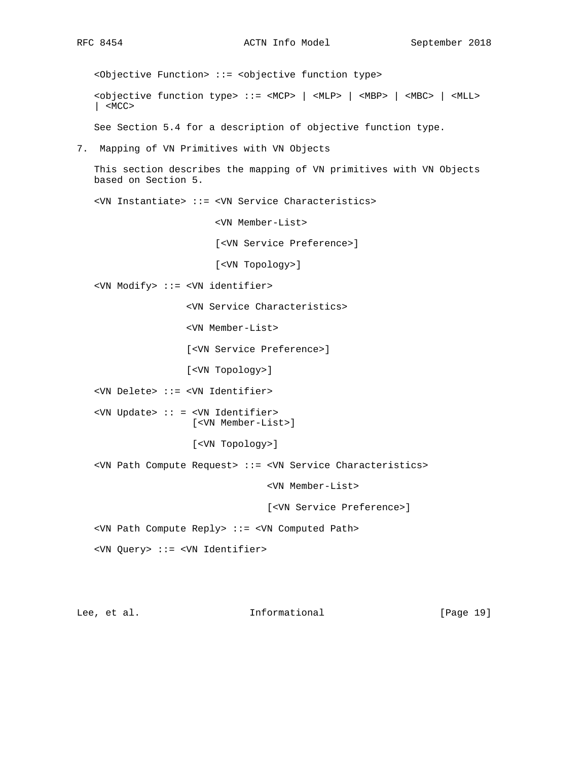<Objective Function> ::= <objective function type> <objective function type> ::= <MCP> | <MLP> | <MBP> | <MBC> | <MLL> | <MCC> See Section 5.4 for a description of objective function type. 7. Mapping of VN Primitives with VN Objects This section describes the mapping of VN primitives with VN Objects based on Section 5. <VN Instantiate> ::= <VN Service Characteristics> <VN Member-List> [<VN Service Preference>] [<VN Topology>] <VN Modify> ::= <VN identifier> <VN Service Characteristics> <VN Member-List> [<VN Service Preference>] [<VN Topology>] <VN Delete> ::= <VN Identifier> <VN Update> :: = <VN Identifier> [<VN Member-List>] [<VN Topology>] <VN Path Compute Request> ::= <VN Service Characteristics> <VN Member-List> [<VN Service Preference>] <VN Path Compute Reply> ::= <VN Computed Path> <VN Query> ::= <VN Identifier>

Lee, et al. Informational [Page 19]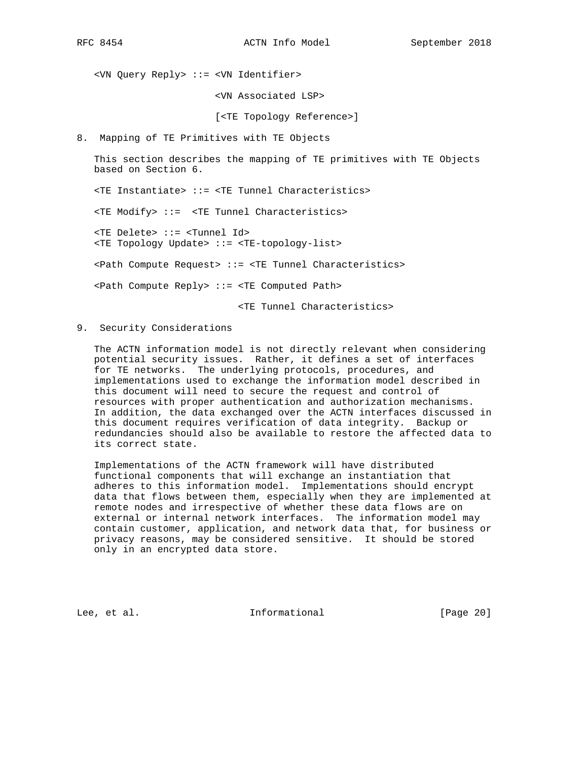<VN Query Reply> ::= <VN Identifier>

<VN Associated LSP>

[<TE Topology Reference>]

8. Mapping of TE Primitives with TE Objects

 This section describes the mapping of TE primitives with TE Objects based on Section 6.

<TE Instantiate> ::= <TE Tunnel Characteristics>

<TE Modify> ::= <TE Tunnel Characteristics>

 <TE Delete> ::= <Tunnel Id> <TE Topology Update> ::= <TE-topology-list>

<Path Compute Request> ::= <TE Tunnel Characteristics>

<Path Compute Reply> ::= <TE Computed Path>

<TE Tunnel Characteristics>

9. Security Considerations

 The ACTN information model is not directly relevant when considering potential security issues. Rather, it defines a set of interfaces for TE networks. The underlying protocols, procedures, and implementations used to exchange the information model described in this document will need to secure the request and control of resources with proper authentication and authorization mechanisms. In addition, the data exchanged over the ACTN interfaces discussed in this document requires verification of data integrity. Backup or redundancies should also be available to restore the affected data to its correct state.

 Implementations of the ACTN framework will have distributed functional components that will exchange an instantiation that adheres to this information model. Implementations should encrypt data that flows between them, especially when they are implemented at remote nodes and irrespective of whether these data flows are on external or internal network interfaces. The information model may contain customer, application, and network data that, for business or privacy reasons, may be considered sensitive. It should be stored only in an encrypted data store.

Lee, et al. Informational [Page 20]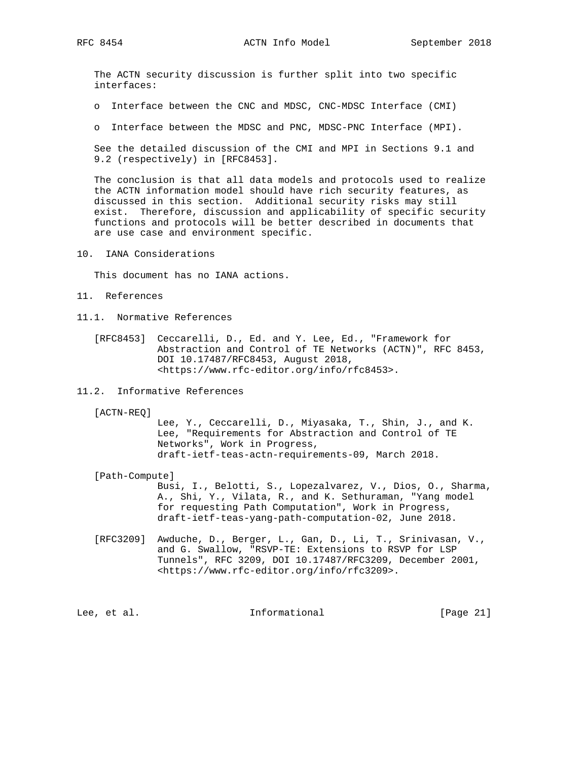The ACTN security discussion is further split into two specific interfaces:

o Interface between the CNC and MDSC, CNC-MDSC Interface (CMI)

o Interface between the MDSC and PNC, MDSC-PNC Interface (MPI).

 See the detailed discussion of the CMI and MPI in Sections 9.1 and 9.2 (respectively) in [RFC8453].

 The conclusion is that all data models and protocols used to realize the ACTN information model should have rich security features, as discussed in this section. Additional security risks may still exist. Therefore, discussion and applicability of specific security functions and protocols will be better described in documents that are use case and environment specific.

10. IANA Considerations

This document has no IANA actions.

- 11. References
- 11.1. Normative References

 [RFC8453] Ceccarelli, D., Ed. and Y. Lee, Ed., "Framework for Abstraction and Control of TE Networks (ACTN)", RFC 8453, DOI 10.17487/RFC8453, August 2018, <https://www.rfc-editor.org/info/rfc8453>.

11.2. Informative References

[ACTN-REQ]

 Lee, Y., Ceccarelli, D., Miyasaka, T., Shin, J., and K. Lee, "Requirements for Abstraction and Control of TE Networks", Work in Progress, draft-ietf-teas-actn-requirements-09, March 2018.

[Path-Compute]

 Busi, I., Belotti, S., Lopezalvarez, V., Dios, O., Sharma, A., Shi, Y., Vilata, R., and K. Sethuraman, "Yang model for requesting Path Computation", Work in Progress, draft-ietf-teas-yang-path-computation-02, June 2018.

 [RFC3209] Awduche, D., Berger, L., Gan, D., Li, T., Srinivasan, V., and G. Swallow, "RSVP-TE: Extensions to RSVP for LSP Tunnels", RFC 3209, DOI 10.17487/RFC3209, December 2001, <https://www.rfc-editor.org/info/rfc3209>.

Lee, et al. Informational [Page 21]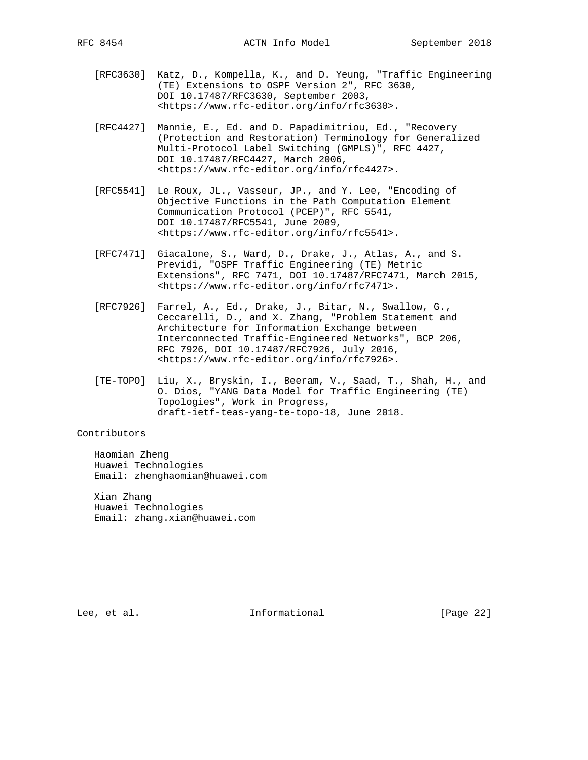- [RFC3630] Katz, D., Kompella, K., and D. Yeung, "Traffic Engineering (TE) Extensions to OSPF Version 2", RFC 3630, DOI 10.17487/RFC3630, September 2003, <https://www.rfc-editor.org/info/rfc3630>.
- [RFC4427] Mannie, E., Ed. and D. Papadimitriou, Ed., "Recovery (Protection and Restoration) Terminology for Generalized Multi-Protocol Label Switching (GMPLS)", RFC 4427, DOI 10.17487/RFC4427, March 2006, <https://www.rfc-editor.org/info/rfc4427>.
- [RFC5541] Le Roux, JL., Vasseur, JP., and Y. Lee, "Encoding of Objective Functions in the Path Computation Element Communication Protocol (PCEP)", RFC 5541, DOI 10.17487/RFC5541, June 2009, <https://www.rfc-editor.org/info/rfc5541>.
- [RFC7471] Giacalone, S., Ward, D., Drake, J., Atlas, A., and S. Previdi, "OSPF Traffic Engineering (TE) Metric Extensions", RFC 7471, DOI 10.17487/RFC7471, March 2015, <https://www.rfc-editor.org/info/rfc7471>.
- [RFC7926] Farrel, A., Ed., Drake, J., Bitar, N., Swallow, G., Ceccarelli, D., and X. Zhang, "Problem Statement and Architecture for Information Exchange between Interconnected Traffic-Engineered Networks", BCP 206, RFC 7926, DOI 10.17487/RFC7926, July 2016, <https://www.rfc-editor.org/info/rfc7926>.
- [TE-TOPO] Liu, X., Bryskin, I., Beeram, V., Saad, T., Shah, H., and O. Dios, "YANG Data Model for Traffic Engineering (TE) Topologies", Work in Progress, draft-ietf-teas-yang-te-topo-18, June 2018.

### Contributors

 Haomian Zheng Huawei Technologies Email: zhenghaomian@huawei.com

 Xian Zhang Huawei Technologies Email: zhang.xian@huawei.com

Lee, et al. 1nformational [Page 22]